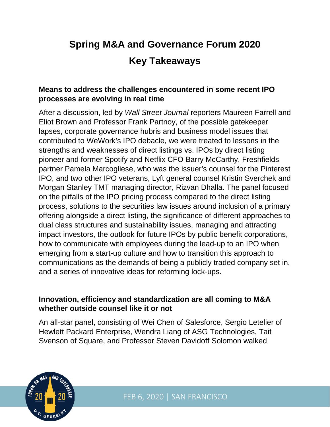# **Spring M&A and Governance Forum 2020 Key Takeaways**

### **Means to address the challenges encountered in some recent IPO processes are evolving in real time**

After a discussion, led by *Wall Street Journal* reporters Maureen Farrell and Eliot Brown and Professor Frank Partnoy, of the possible gatekeeper lapses, corporate governance hubris and business model issues that contributed to WeWork's IPO debacle, we were treated to lessons in the strengths and weaknesses of direct listings vs. IPOs by direct listing pioneer and former Spotify and Netflix CFO Barry McCarthy, Freshfields partner Pamela Marcogliese, who was the issuer's counsel for the Pinterest IPO, and two other IPO veterans, Lyft general counsel Kristin Sverchek and Morgan Stanley TMT managing director, Rizvan Dhalla. The panel focused on the pitfalls of the IPO pricing process compared to the direct listing process, solutions to the securities law issues around inclusion of a primary offering alongside a direct listing, the significance of different approaches to dual class structures and sustainability issues, managing and attracting impact investors, the outlook for future IPOs by public benefit corporations, how to communicate with employees during the lead-up to an IPO when emerging from a start-up culture and how to transition this approach to communications as the demands of being a publicly traded company set in, and a series of innovative ideas for reforming lock-ups.

#### **Innovation, efficiency and standardization are all coming to M&A whether outside counsel like it or not**

An all-star panel, consisting of Wei Chen of Salesforce, Sergio Letelier of Hewlett Packard Enterprise, Wendra Liang of ASG Technologies, Tait Svenson of Square, and Professor Steven Davidoff Solomon walked



FEB 6, 2020 | SAN FRANCISCO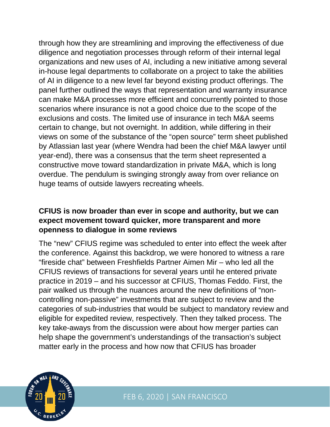through how they are streamlining and improving the effectiveness of due diligence and negotiation processes through reform of their internal legal organizations and new uses of AI, including a new initiative among several in-house legal departments to collaborate on a project to take the abilities of AI in diligence to a new level far beyond existing product offerings. The panel further outlined the ways that representation and warranty insurance can make M&A processes more efficient and concurrently pointed to those scenarios where insurance is not a good choice due to the scope of the exclusions and costs. The limited use of insurance in tech M&A seems certain to change, but not overnight. In addition, while differing in their views on some of the substance of the "open source" term sheet published by Atlassian last year (where Wendra had been the chief M&A lawyer until year-end), there was a consensus that the term sheet represented a constructive move toward standardization in private M&A, which is long overdue. The pendulum is swinging strongly away from over reliance on huge teams of outside lawyers recreating wheels.

### **CFIUS is now broader than ever in scope and authority, but we can expect movement toward quicker, more transparent and more openness to dialogue in some reviews**

The "new" CFIUS regime was scheduled to enter into effect the week after the conference. Against this backdrop, we were honored to witness a rare "fireside chat" between Freshfields Partner Aimen Mir – who led all the CFIUS reviews of transactions for several years until he entered private practice in 2019 – and his successor at CFIUS, Thomas Feddo. First, the pair walked us through the nuances around the new definitions of "noncontrolling non-passive" investments that are subject to review and the categories of sub-industries that would be subject to mandatory review and eligible for expedited review, respectively. Then they talked process. The key take-aways from the discussion were about how merger parties can help shape the government's understandings of the transaction's subject matter early in the process and how now that CFIUS has broader

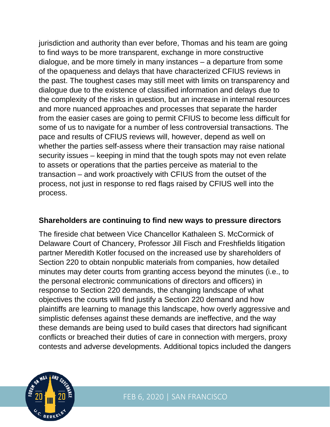jurisdiction and authority than ever before, Thomas and his team are going to find ways to be more transparent, exchange in more constructive dialogue, and be more timely in many instances – a departure from some of the opaqueness and delays that have characterized CFIUS reviews in the past. The toughest cases may still meet with limits on transparency and dialogue due to the existence of classified information and delays due to the complexity of the risks in question, but an increase in internal resources and more nuanced approaches and processes that separate the harder from the easier cases are going to permit CFIUS to become less difficult for some of us to navigate for a number of less controversial transactions. The pace and results of CFIUS reviews will, however, depend as well on whether the parties self-assess where their transaction may raise national security issues – keeping in mind that the tough spots may not even relate to assets or operations that the parties perceive as material to the transaction – and work proactively with CFIUS from the outset of the process, not just in response to red flags raised by CFIUS well into the process.

#### **Shareholders are continuing to find new ways to pressure directors**

The fireside chat between Vice Chancellor Kathaleen S. McCormick of Delaware Court of Chancery, Professor Jill Fisch and Freshfields litigation partner Meredith Kotler focused on the increased use by shareholders of Section 220 to obtain nonpublic materials from companies, how detailed minutes may deter courts from granting access beyond the minutes (i.e., to the personal electronic communications of directors and officers) in response to Section 220 demands, the changing landscape of what objectives the courts will find justify a Section 220 demand and how plaintiffs are learning to manage this landscape, how overly aggressive and simplistic defenses against these demands are ineffective, and the way these demands are being used to build cases that directors had significant conflicts or breached their duties of care in connection with mergers, proxy contests and adverse developments. Additional topics included the dangers

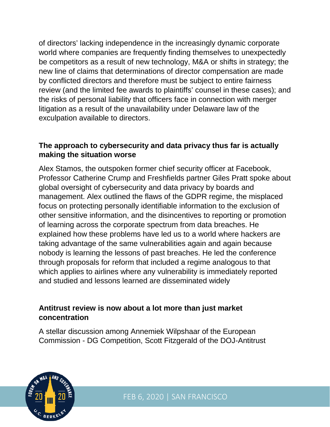of directors' lacking independence in the increasingly dynamic corporate world where companies are frequently finding themselves to unexpectedly be competitors as a result of new technology, M&A or shifts in strategy; the new line of claims that determinations of director compensation are made by conflicted directors and therefore must be subject to entire fairness review (and the limited fee awards to plaintiffs' counsel in these cases); and the risks of personal liability that officers face in connection with merger litigation as a result of the unavailability under Delaware law of the exculpation available to directors.

## **The approach to cybersecurity and data privacy thus far is actually making the situation worse**

Alex Stamos, the outspoken former chief security officer at Facebook, Professor Catherine Crump and Freshfields partner Giles Pratt spoke about global oversight of cybersecurity and data privacy by boards and management. Alex outlined the flaws of the GDPR regime, the misplaced focus on protecting personally identifiable information to the exclusion of other sensitive information, and the disincentives to reporting or promotion of learning across the corporate spectrum from data breaches. He explained how these problems have led us to a world where hackers are taking advantage of the same vulnerabilities again and again because nobody is learning the lessons of past breaches. He led the conference through proposals for reform that included a regime analogous to that which applies to airlines where any vulnerability is immediately reported and studied and lessons learned are disseminated widely

### **Antitrust review is now about a lot more than just market concentration**

A stellar discussion among Annemiek Wilpshaar of the European Commission - DG Competition, Scott Fitzgerald of the DOJ-Antitrust